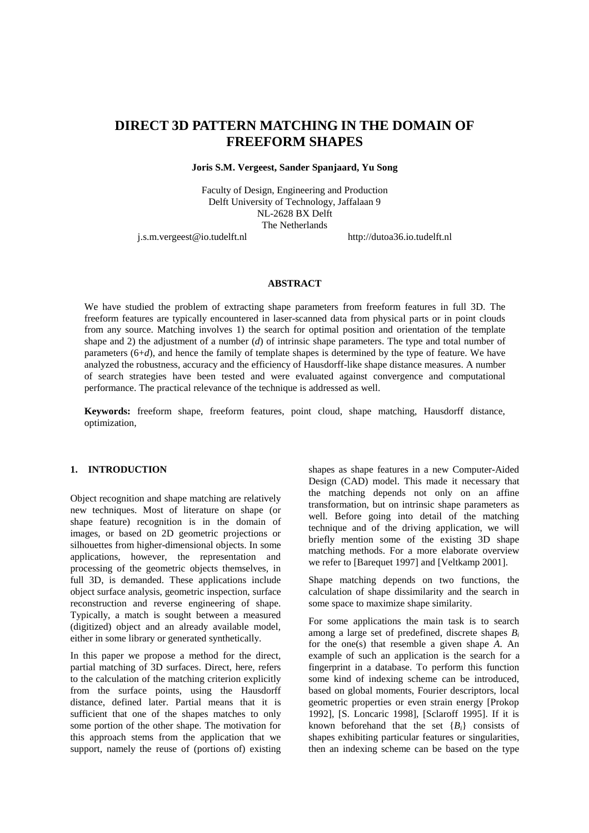# **DIRECT 3D PATTERN MATCHING IN THE DOMAIN OF FREEFORM SHAPES**

**Joris S.M. Vergeest, Sander Spanjaard, Yu Song**

Faculty of Design, Engineering and Production Delft University of Technology, Jaffalaan 9 NL-2628 BX Delft The Netherlands

j.s.m.vergeest@io.tudelft.nl http://dutoa36.io.tudelft.nl

#### **ABSTRACT**

We have studied the problem of extracting shape parameters from freeform features in full 3D. The freeform features are typically encountered in laser-scanned data from physical parts or in point clouds from any source. Matching involves 1) the search for optimal position and orientation of the template shape and 2) the adjustment of a number (*d*) of intrinsic shape parameters. The type and total number of parameters (6+*d*), and hence the family of template shapes is determined by the type of feature. We have analyzed the robustness, accuracy and the efficiency of Hausdorff-like shape distance measures. A number of search strategies have been tested and were evaluated against convergence and computational performance. The practical relevance of the technique is addressed as well.

**Keywords:** freeform shape, freeform features, point cloud, shape matching, Hausdorff distance, optimization,

#### **1. INTRODUCTION**

Object recognition and shape matching are relatively new techniques. Most of literature on shape (or shape feature) recognition is in the domain of images, or based on 2D geometric projections or silhouettes from higher-dimensional objects. In some applications, however, the representation and processing of the geometric objects themselves, in full 3D, is demanded. These applications include object surface analysis, geometric inspection, surface reconstruction and reverse engineering of shape. Typically, a match is sought between a measured (digitized) object and an already available model, either in some library or generated synthetically.

In this paper we propose a method for the direct, partial matching of 3D surfaces. Direct, here, refers to the calculation of the matching criterion explicitly from the surface points, using the Hausdorff distance, defined later. Partial means that it is sufficient that one of the shapes matches to only some portion of the other shape. The motivation for this approach stems from the application that we support, namely the reuse of (portions of) existing shapes as shape features in a new Computer-Aided Design (CAD) model. This made it necessary that the matching depends not only on an affine transformation, but on intrinsic shape parameters as well. Before going into detail of the matching technique and of the driving application, we will briefly mention some of the existing 3D shape matching methods. For a more elaborate overview we refer to [Barequet 1997] and [Veltkamp 2001].

Shape matching depends on two functions, the calculation of shape dissimilarity and the search in some space to maximize shape similarity.

For some applications the main task is to search among a large set of predefined, discrete shapes *Bi* for the one(s) that resemble a given shape *A*. An example of such an application is the search for a fingerprint in a database. To perform this function some kind of indexing scheme can be introduced, based on global moments, Fourier descriptors, local geometric properties or even strain energy [Prokop 1992], [S. Loncaric 1998], [Sclaroff 1995]. If it is known beforehand that the set  ${B_i}$  consists of shapes exhibiting particular features or singularities, then an indexing scheme can be based on the type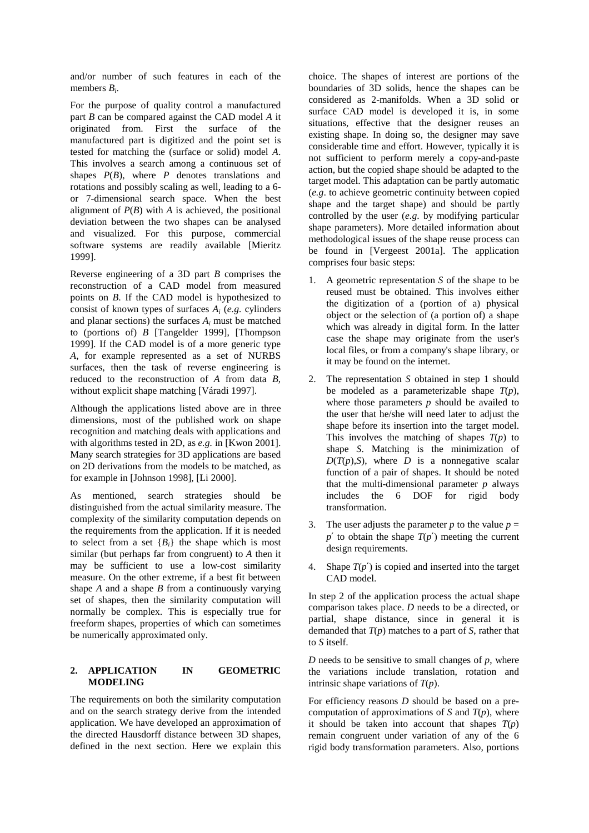and/or number of such features in each of the members *Bi*.

For the purpose of quality control a manufactured part *B* can be compared against the CAD model *A* it originated from. First the surface of the manufactured part is digitized and the point set is tested for matching the (surface or solid) model *A*. This involves a search among a continuous set of shapes  $P(B)$ , where  $P$  denotes translations and rotations and possibly scaling as well, leading to a 6 or 7-dimensional search space. When the best alignment of *P*(*B*) with *A* is achieved, the positional deviation between the two shapes can be analysed and visualized. For this purpose, commercial software systems are readily available [Mieritz 1999].

Reverse engineering of a 3D part *B* comprises the reconstruction of a CAD model from measured points on *B*. If the CAD model is hypothesized to consist of known types of surfaces *Ai* (*e.g.* cylinders and planar sections) the surfaces *Ai* must be matched to (portions of) *B* [Tangelder 1999], [Thompson 1999]. If the CAD model is of a more generic type *A*, for example represented as a set of NURBS surfaces, then the task of reverse engineering is reduced to the reconstruction of *A* from data *B*, without explicit shape matching [Váradi 1997].

Although the applications listed above are in three dimensions, most of the published work on shape recognition and matching deals with applications and with algorithms tested in 2D, as *e.g.* in [Kwon 2001]. Many search strategies for 3D applications are based on 2D derivations from the models to be matched, as for example in [Johnson 1998], [Li 2000].

As mentioned, search strategies should be distinguished from the actual similarity measure. The complexity of the similarity computation depends on the requirements from the application. If it is needed to select from a set  ${B_i}$  the shape which is most similar (but perhaps far from congruent) to *A* then it may be sufficient to use a low-cost similarity measure. On the other extreme, if a best fit between shape *A* and a shape *B* from a continuously varying set of shapes, then the similarity computation will normally be complex. This is especially true for freeform shapes, properties of which can sometimes be numerically approximated only.

#### **2. APPLICATION IN GEOMETRIC MODELING**

The requirements on both the similarity computation and on the search strategy derive from the intended application. We have developed an approximation of the directed Hausdorff distance between 3D shapes, defined in the next section. Here we explain this choice. The shapes of interest are portions of the boundaries of 3D solids, hence the shapes can be considered as 2-manifolds. When a 3D solid or surface CAD model is developed it is, in some situations, effective that the designer reuses an existing shape. In doing so, the designer may save considerable time and effort. However, typically it is not sufficient to perform merely a copy-and-paste action, but the copied shape should be adapted to the target model. This adaptation can be partly automatic (*e.g*. to achieve geometric continuity between copied shape and the target shape) and should be partly controlled by the user (*e.g*. by modifying particular shape parameters). More detailed information about methodological issues of the shape reuse process can be found in [Vergeest 2001a]. The application comprises four basic steps:

- 1. A geometric representation *S* of the shape to be reused must be obtained. This involves either the digitization of a (portion of a) physical object or the selection of (a portion of) a shape which was already in digital form. In the latter case the shape may originate from the user's local files, or from a company's shape library, or it may be found on the internet.
- 2. The representation *S* obtained in step 1 should be modeled as a parameterizable shape *T*(*p*), where those parameters *p* should be availed to the user that he/she will need later to adjust the shape before its insertion into the target model. This involves the matching of shapes  $T(p)$  to shape *S*. Matching is the minimization of  $D(T(p), S)$ , where *D* is a nonnegative scalar function of a pair of shapes. It should be noted that the multi-dimensional parameter *p* always includes the 6 DOF for rigid body transformation.
- 3. The user adjusts the parameter *p* to the value  $p =$  $p'$  to obtain the shape  $T(p')$  meeting the current design requirements.
- 4. Shape  $T(p')$  is copied and inserted into the target CAD model.

In step 2 of the application process the actual shape comparison takes place. *D* needs to be a directed, or partial, shape distance, since in general it is demanded that *T*(*p*) matches to a part of *S*, rather that to *S* itself.

*D* needs to be sensitive to small changes of  $p$ , where the variations include translation, rotation and intrinsic shape variations of *T*(*p*).

For efficiency reasons *D* should be based on a precomputation of approximations of *S* and  $T(p)$ , where it should be taken into account that shapes  $T(p)$ remain congruent under variation of any of the 6 rigid body transformation parameters. Also, portions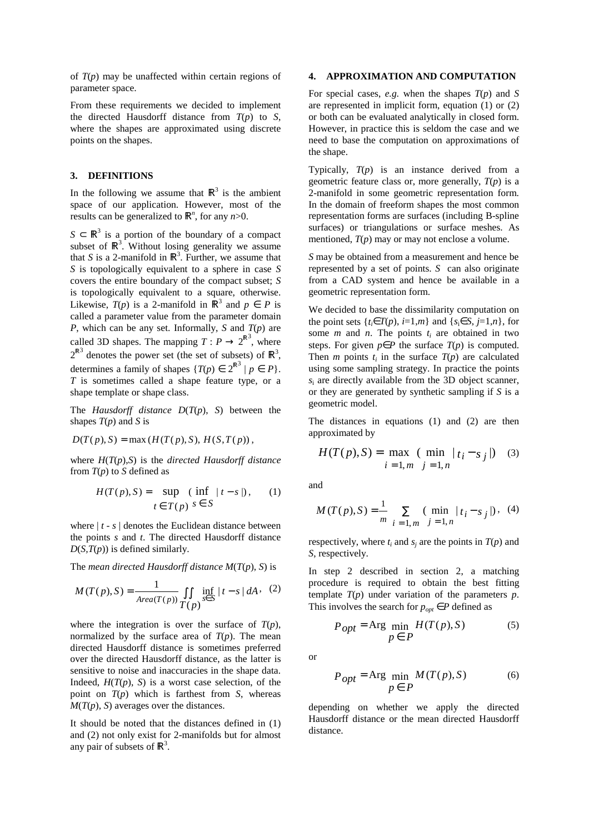of  $T(p)$  may be unaffected within certain regions of parameter space.

From these requirements we decided to implement the directed Hausdorff distance from *T*(*p*) to *S*, where the shapes are approximated using discrete points on the shapes.

#### **3. DEFINITIONS**

In the following we assume that  $\mathbb{R}^3$  is the ambient space of our application. However, most of the results can be generalized to  $\mathbb{R}^n$ , for any  $n>0$ .

 $S \subset \mathbb{R}^3$  is a portion of the boundary of a compact subset of  $\mathbb{R}^3$ . Without losing generality we assume that *S* is a 2-manifold in  $\mathbb{R}^3$ . Further, we assume that *S* is topologically equivalent to a sphere in case *S* covers the entire boundary of the compact subset; *S* is topologically equivalent to a square, otherwise. Likewise,  $T(p)$  is a 2-manifold in  $\mathbb{R}^3$  and  $p \in P$  is called a parameter value from the parameter domain *P*, which can be any set. Informally, *S* and *T*(*p*) are called 3D shapes. The mapping  $T: P \to 2^{\mathbb{R}^3}$ , where  $2^{\mathbb{R}^3}$  denotes the power set (the set of subsets) of  $\mathbb{R}^3$ , determines a family of shapes  $\{T(p) \in 2^{\mathbb{R}^3} \mid p \in P\}.$ *T* is sometimes called a shape feature type, or a shape template or shape class.

The *Hausdorff distance D*(*T*(*p*), *S*) between the shapes *T*(*p*) and *S* is

$$
D(T(p), S) = \max(H(T(p), S), H(S, T(p))),
$$

where *H*(*T*(*p*),*S*) is the *directed Hausdorff distance* from *T*(*p*) to *S* defined as

$$
H(T(p), S) = \sup_{t \in T(p)} (\inf |t - s|), \quad (1)
$$

where  $|t - s|$  denotes the Euclidean distance between the points *s* and *t*. The directed Hausdorff distance  $D(S,T(p))$  is defined similarly.

The *mean directed Hausdorff distance M*(*T*(*p*), *S*) is

$$
M(T(p), S) = \frac{1}{Area(T(p))} \iint_{T(p)} \inf_{s \in S} |t - s| dA, \quad (2)
$$

where the integration is over the surface of  $T(p)$ , normalized by the surface area of  $T(p)$ . The mean directed Hausdorff distance is sometimes preferred over the directed Hausdorff distance, as the latter is sensitive to noise and inaccuracies in the shape data. Indeed,  $H(T(p), S)$  is a worst case selection, of the point on  $T(p)$  which is farthest from *S*, whereas  $M(T(p), S)$  averages over the distances.

It should be noted that the distances defined in (1) and (2) not only exist for 2-manifolds but for almost any pair of subsets of  $\mathbb{R}^3$ .

#### **4. APPROXIMATION AND COMPUTATION**

For special cases, *e.g.* when the shapes  $T(p)$  and *S* are represented in implicit form, equation (1) or (2) or both can be evaluated analytically in closed form. However, in practice this is seldom the case and we need to base the computation on approximations of the shape.

Typically, *T*(*p*) is an instance derived from a geometric feature class or, more generally, *T*(*p*) is a 2-manifold in some geometric representation form. In the domain of freeform shapes the most common representation forms are surfaces (including B-spline surfaces) or triangulations or surface meshes. As mentioned, *T*(*p*) may or may not enclose a volume.

*S* may be obtained from a measurement and hence be represented by a set of points. *S* can also originate from a CAD system and hence be available in a geometric representation form.

We decided to base the dissimilarity computation on the point sets  $\{t_i \in T(p), i=1,m\}$  and  $\{s_i \in S, j=1,n\}$ , for some  $m$  and  $n$ . The points  $t_i$  are obtained in two steps. For given  $p \in P$  the surface  $T(p)$  is computed. Then *m* points  $t_i$  in the surface  $T(p)$  are calculated using some sampling strategy. In practice the points *s*i are directly available from the 3D object scanner, or they are generated by synthetic sampling if *S* is a geometric model.

The distances in equations (1) and (2) are then approximated by

$$
H(T(p), S) = \max_{i=1, m} ( \min_{j=1, n} |t_i - s_j| )
$$
 (3)

and

$$
M(T(p), S) = \frac{1}{m} \sum_{i=1, m}^{\infty} (\min_{j=1, n} |t_i - s_j|), (4)
$$

respectively, where  $t_i$  and  $s_j$  are the points in  $T(p)$  and *S*, respectively.

In step 2 described in section 2, a matching procedure is required to obtain the best fitting template  $T(p)$  under variation of the parameters  $p$ . This involves the search for  $p_{opt} \in P$  defined as

$$
P_{opt} = \text{Arg} \min_{p \in P} H(T(p), S) \tag{5}
$$

or

$$
P_{opt} = \text{Arg} \min_{p \in P} M(T(p), S) \tag{6}
$$

depending on whether we apply the directed Hausdorff distance or the mean directed Hausdorff distance.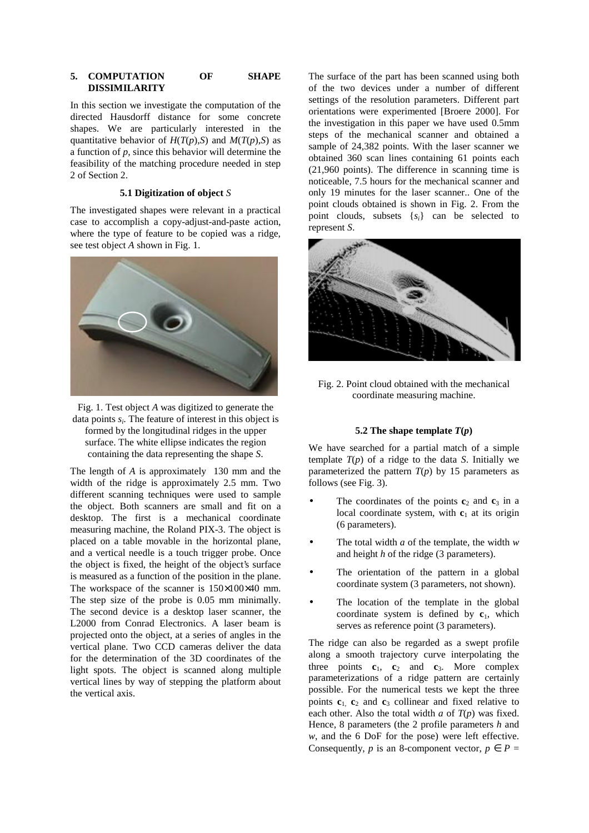#### **5. COMPUTATION OF SHAPE DISSIMILARITY**

In this section we investigate the computation of the directed Hausdorff distance for some concrete shapes. We are particularly interested in the quantitative behavior of  $H(T(p),S)$  and  $M(T(p),S)$  as a function of *p*, since this behavior will determine the feasibility of the matching procedure needed in step 2 of Section 2.

#### **5.1 Digitization of object** *S*

The investigated shapes were relevant in a practical case to accomplish a copy-adjust-and-paste action, where the type of feature to be copied was a ridge. see test object *A* shown in Fig. 1.



Fig. 1. Test object *A* was digitized to generate the data points *si*. The feature of interest in this object is formed by the longitudinal ridges in the upper surface. The white ellipse indicates the region containing the data representing the shape *S*.

The length of *A* is approximately 130 mm and the width of the ridge is approximately 2.5 mm. Two different scanning techniques were used to sample the object. Both scanners are small and fit on a desktop. The first is a mechanical coordinate measuring machine, the Roland PIX-3. The object is placed on a table movable in the horizontal plane, and a vertical needle is a touch trigger probe. Once the object is fixed, the height of the object's surface is measured as a function of the position in the plane. The workspace of the scanner is 150×100×40 mm. The step size of the probe is 0.05 mm minimally. The second device is a desktop laser scanner, the L2000 from Conrad Electronics. A laser beam is projected onto the object, at a series of angles in the vertical plane. Two CCD cameras deliver the data for the determination of the 3D coordinates of the light spots. The object is scanned along multiple vertical lines by way of stepping the platform about the vertical axis.

The surface of the part has been scanned using both of the two devices under a number of different settings of the resolution parameters. Different part orientations were experimented [Broere 2000]. For the investigation in this paper we have used 0.5mm steps of the mechanical scanner and obtained a sample of 24,382 points. With the laser scanner we obtained 360 scan lines containing 61 points each (21,960 points). The difference in scanning time is noticeable, 7.5 hours for the mechanical scanner and only 19 minutes for the laser scanner.. One of the point clouds obtained is shown in Fig. 2. From the point clouds, subsets {*si*} can be selected to represent *S*.



Fig. 2. Point cloud obtained with the mechanical coordinate measuring machine.

## **5.2 The shape template**  $T(p)$

We have searched for a partial match of a simple template  $T(p)$  of a ridge to the data *S*. Initially we parameterized the pattern  $T(p)$  by 15 parameters as follows (see Fig. 3).

- The coordinates of the points  **and**  $**c**<sub>3</sub>$  **in a** local coordinate system, with  $c_1$  at its origin (6 parameters).
- The total width *a* of the template, the width *w* and height *h* of the ridge (3 parameters).
- The orientation of the pattern in a global coordinate system (3 parameters, not shown).
- The location of the template in the global coordinate system is defined by  $c_1$ , which serves as reference point (3 parameters).

The ridge can also be regarded as a swept profile along a smooth trajectory curve interpolating the three points  $c_1$ ,  $c_2$  and  $c_3$ . More complex parameterizations of a ridge pattern are certainly possible. For the numerical tests we kept the three points  $c_1$ ,  $c_2$  and  $c_3$  collinear and fixed relative to each other. Also the total width *a* of *T*(*p*) was fixed. Hence, 8 parameters (the 2 profile parameters *h* and *w*, and the 6 DoF for the pose) were left effective. Consequently, *p* is an 8-component vector,  $p \in P =$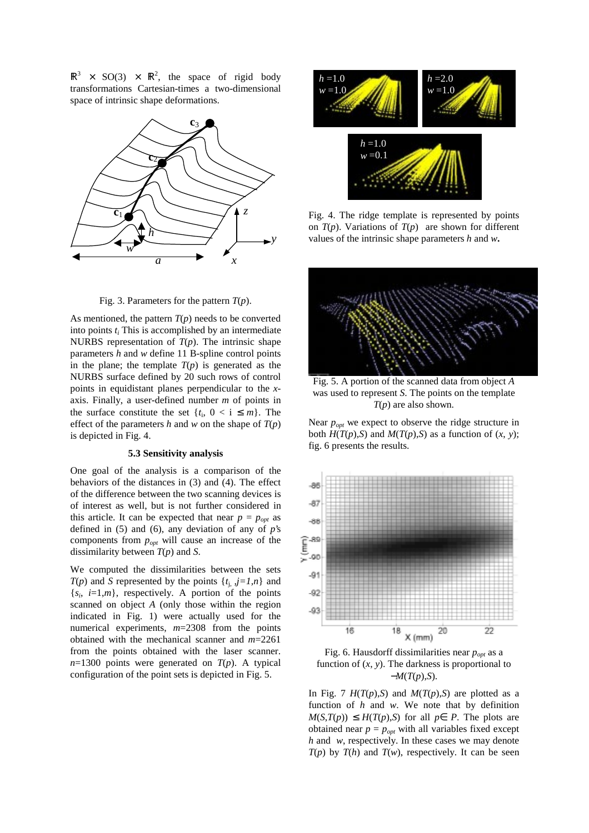$\mathbb{R}^3 \times SO(3) \times \mathbb{R}^2$ , the space of rigid body transformations Cartesian-times a two-dimensional space of intrinsic shape deformations.



Fig. 3. Parameters for the pattern  $T(p)$ .

As mentioned, the pattern  $T(p)$  needs to be converted into points *ti* This is accomplished by an intermediate NURBS representation of  $T(p)$ . The intrinsic shape parameters *h* and *w* define 11 B-spline control points in the plane; the template  $T(p)$  is generated as the NURBS surface defined by 20 such rows of control points in equidistant planes perpendicular to the *x*axis. Finally, a user-defined number *m* of points in the surface constitute the set  $\{t_i, 0 \le i \le m\}$ . The effect of the parameters *h* and *w* on the shape of  $T(p)$ is depicted in Fig. 4.

#### **5.3 Sensitivity analysis**

One goal of the analysis is a comparison of the behaviors of the distances in (3) and (4). The effect of the difference between the two scanning devices is of interest as well, but is not further considered in this article. It can be expected that near  $p = p_{opt}$  as defined in  $(5)$  and  $(6)$ , any deviation of any of  $p$ 's components from  $p_{opt}$  will cause an increase of the dissimilarity between *T*(*p*) and *S*.

We computed the dissimilarities between the sets  $T(p)$  and *S* represented by the points  $\{t_i, j=1, n\}$  and  ${s_i, i=1,m}$ , respectively. A portion of the points scanned on object *A* (only those within the region indicated in Fig. 1) were actually used for the numerical experiments, *m*=2308 from the points obtained with the mechanical scanner and *m*=2261 from the points obtained with the laser scanner.  $n=1300$  points were generated on  $T(p)$ . A typical configuration of the point sets is depicted in Fig. 5.



Fig. 4. The ridge template is represented by points on  $T(p)$ . Variations of  $T(p)$  are shown for different values of the intrinsic shape parameters *h* and *w***.**



Fig. 5. A portion of the scanned data from object *A* was used to represent *S*. The points on the template *T*(*p*) are also shown.

Near  $p_{opt}$  we expect to observe the ridge structure in both  $H(T(p), S)$  and  $M(T(p), S)$  as a function of  $(x, y)$ ; fig. 6 presents the results.





In Fig. 7  $H(T(p),S)$  and  $M(T(p),S)$  are plotted as a function of *h* and *w*. We note that by definition *M*(*S*,*T*(*p*)) ≤ *H*(*T*(*p*),*S*) for all *p*∈ *P*. The plots are obtained near  $p = p_{opt}$  with all variables fixed except *h* and *w*, respectively. In these cases we may denote  $T(p)$  by  $T(h)$  and  $T(w)$ , respectively. It can be seen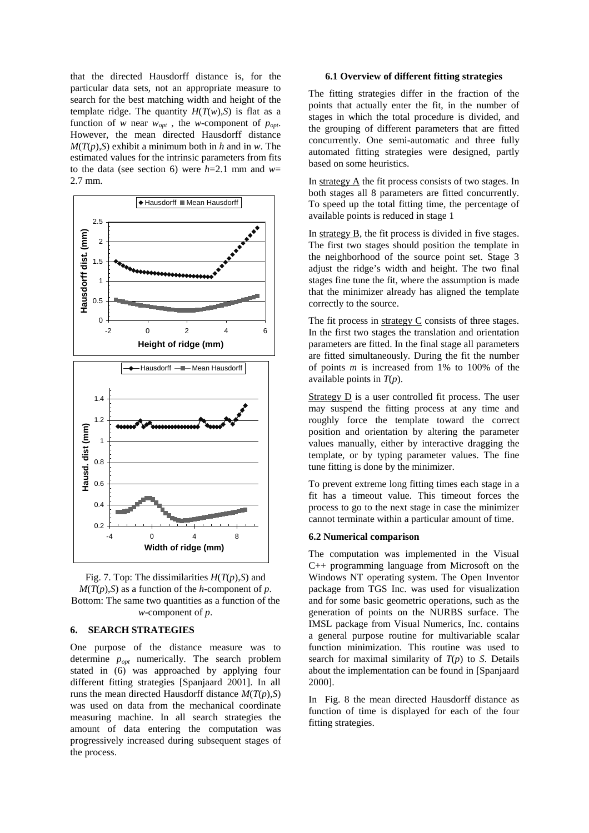that the directed Hausdorff distance is, for the particular data sets, not an appropriate measure to search for the best matching width and height of the template ridge. The quantity  $H(T(w), S)$  is flat as a function of *w* near  $w_{opt}$ , the *w*-component of  $p_{opt}$ . However, the mean directed Hausdorff distance  $M(T(p), S)$  exhibit a minimum both in *h* and in *w*. The estimated values for the intrinsic parameters from fits to the data (see section 6) were *h*=2.1 mm and *w*= 2.7 mm.





#### **6. SEARCH STRATEGIES**

One purpose of the distance measure was to determine *popt* numerically. The search problem stated in (6) was approached by applying four different fitting strategies [Spanjaard 2001]. In all runs the mean directed Hausdorff distance *M*(*T*(*p*),*S*) was used on data from the mechanical coordinate measuring machine. In all search strategies the amount of data entering the computation was progressively increased during subsequent stages of the process.

## **6.1 Overview of different fitting strategies**

The fitting strategies differ in the fraction of the points that actually enter the fit, in the number of stages in which the total procedure is divided, and the grouping of different parameters that are fitted concurrently. One semi-automatic and three fully automated fitting strategies were designed, partly based on some heuristics.

In strategy A the fit process consists of two stages. In both stages all 8 parameters are fitted concurrently. To speed up the total fitting time, the percentage of available points is reduced in stage 1

In strategy B, the fit process is divided in five stages. The first two stages should position the template in the neighborhood of the source point set. Stage 3 adjust the ridge's width and height. The two final stages fine tune the fit, where the assumption is made that the minimizer already has aligned the template correctly to the source.

The fit process in strategy C consists of three stages. In the first two stages the translation and orientation parameters are fitted. In the final stage all parameters are fitted simultaneously. During the fit the number of points *m* is increased from 1% to 100% of the available points in *T*(*p*).

Strategy D is a user controlled fit process. The user may suspend the fitting process at any time and roughly force the template toward the correct position and orientation by altering the parameter values manually, either by interactive dragging the template, or by typing parameter values. The fine tune fitting is done by the minimizer.

To prevent extreme long fitting times each stage in a fit has a timeout value. This timeout forces the process to go to the next stage in case the minimizer cannot terminate within a particular amount of time.

#### **6.2 Numerical comparison**

The computation was implemented in the Visual C++ programming language from Microsoft on the Windows NT operating system. The Open Inventor package from TGS Inc. was used for visualization and for some basic geometric operations, such as the generation of points on the NURBS surface. The IMSL package from Visual Numerics, Inc. contains a general purpose routine for multivariable scalar function minimization. This routine was used to search for maximal similarity of  $T(p)$  to *S*. Details about the implementation can be found in [Spanjaard 2000].

In Fig. 8 the mean directed Hausdorff distance as function of time is displayed for each of the four fitting strategies.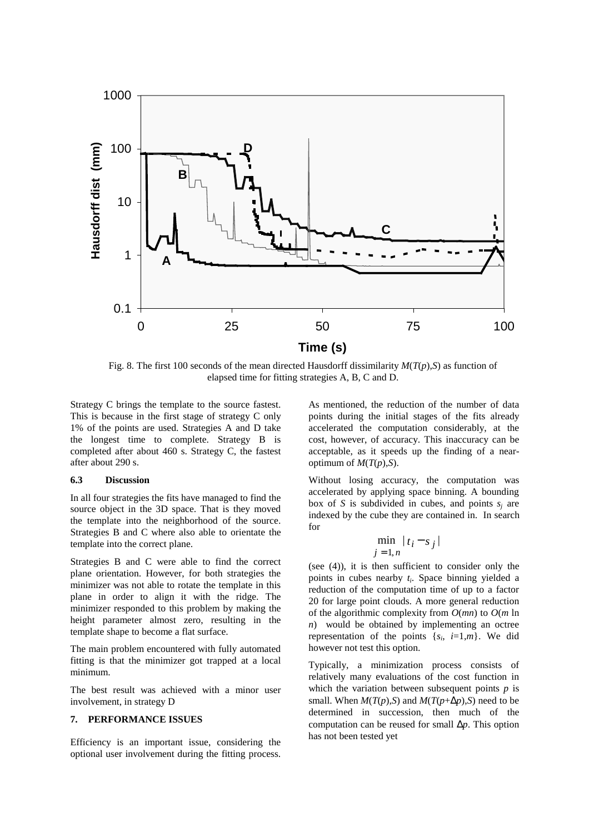

Fig. 8. The first 100 seconds of the mean directed Hausdorff dissimilarity *M*(*T*(*p*),*S*) as function of elapsed time for fitting strategies A, B, C and D.

Strategy C brings the template to the source fastest. This is because in the first stage of strategy C only 1% of the points are used. Strategies A and D take the longest time to complete. Strategy B is completed after about 460 s. Strategy C, the fastest after about 290 s.

#### **6.3 Discussion**

In all four strategies the fits have managed to find the source object in the 3D space. That is they moved the template into the neighborhood of the source. Strategies B and C where also able to orientate the template into the correct plane.

Strategies B and C were able to find the correct plane orientation. However, for both strategies the minimizer was not able to rotate the template in this plane in order to align it with the ridge. The minimizer responded to this problem by making the height parameter almost zero, resulting in the template shape to become a flat surface.

The main problem encountered with fully automated fitting is that the minimizer got trapped at a local minimum.

The best result was achieved with a minor user involvement, in strategy D

#### **7. PERFORMANCE ISSUES**

Efficiency is an important issue, considering the optional user involvement during the fitting process. As mentioned, the reduction of the number of data points during the initial stages of the fits already accelerated the computation considerably, at the cost, however, of accuracy. This inaccuracy can be acceptable, as it speeds up the finding of a nearoptimum of  $M(T(p),S)$ .

Without losing accuracy, the computation was accelerated by applying space binning. A bounding box of *S* is subdivided in cubes, and points  $s_i$  are indexed by the cube they are contained in. In search for

$$
\min_{j=1,n} |t_i - s_j|
$$

(see (4)), it is then sufficient to consider only the points in cubes nearby *ti*. Space binning yielded a reduction of the computation time of up to a factor 20 for large point clouds. A more general reduction of the algorithmic complexity from *O*(*mn*) to *O*(*m* ln *n*) would be obtained by implementing an octree representation of the points  $\{s_i, i=1,m\}$ . We did however not test this option.

Typically, a minimization process consists of relatively many evaluations of the cost function in which the variation between subsequent points  $p$  is small. When  $M(T(p), S)$  and  $M(T(p+\Delta p), S)$  need to be determined in succession, then much of the computation can be reused for small ∆*p*. This option has not been tested yet